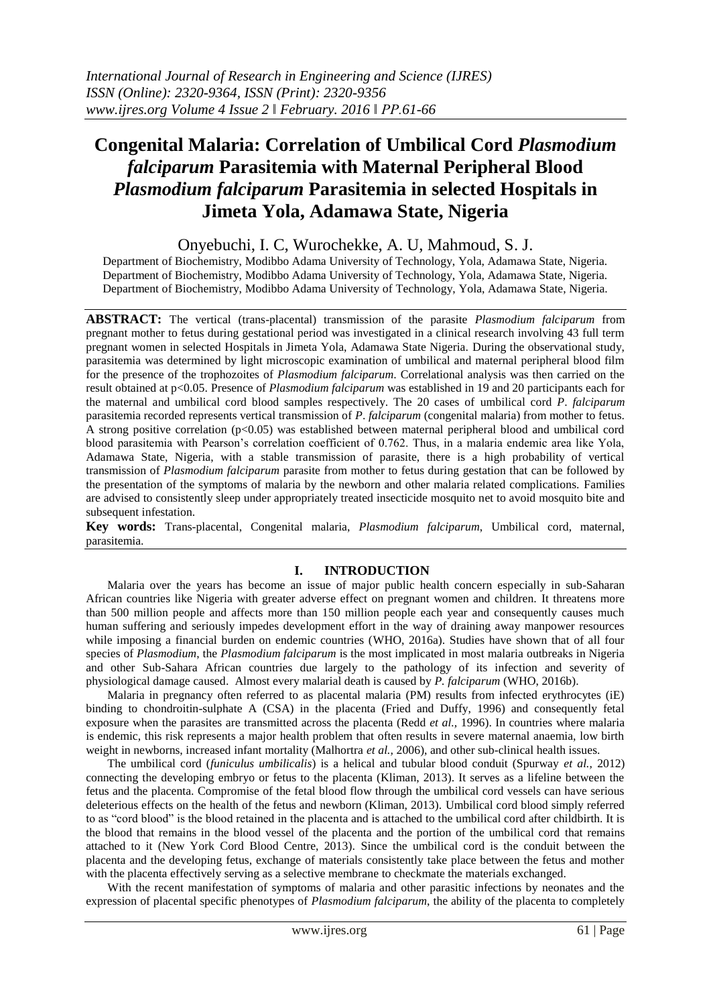# **Congenital Malaria: Correlation of Umbilical Cord** *Plasmodium falciparum* **Parasitemia with Maternal Peripheral Blood**  *Plasmodium falciparum* **Parasitemia in selected Hospitals in Jimeta Yola, Adamawa State, Nigeria**

Onyebuchi, I. C, Wurochekke, A. U, Mahmoud, S. J.

Department of Biochemistry, Modibbo Adama University of Technology, Yola, Adamawa State, Nigeria. Department of Biochemistry, Modibbo Adama University of Technology, Yola, Adamawa State, Nigeria. Department of Biochemistry, Modibbo Adama University of Technology, Yola, Adamawa State, Nigeria.

**ABSTRACT:** The vertical (trans-placental) transmission of the parasite *Plasmodium falciparum* from pregnant mother to fetus during gestational period was investigated in a clinical research involving 43 full term pregnant women in selected Hospitals in Jimeta Yola, Adamawa State Nigeria. During the observational study, parasitemia was determined by light microscopic examination of umbilical and maternal peripheral blood film for the presence of the trophozoites of *Plasmodium falciparum*. Correlational analysis was then carried on the result obtained at p<0.05. Presence of *Plasmodium falciparum* was established in 19 and 20 participants each for the maternal and umbilical cord blood samples respectively. The 20 cases of umbilical cord *P*. *falciparum* parasitemia recorded represents vertical transmission of *P*. *falciparum* (congenital malaria) from mother to fetus. A strong positive correlation ( $p<0.05$ ) was established between maternal peripheral blood and umbilical cord blood parasitemia with Pearson's correlation coefficient of 0.762. Thus, in a malaria endemic area like Yola, Adamawa State, Nigeria, with a stable transmission of parasite, there is a high probability of vertical transmission of *Plasmodium falciparum* parasite from mother to fetus during gestation that can be followed by the presentation of the symptoms of malaria by the newborn and other malaria related complications. Families are advised to consistently sleep under appropriately treated insecticide mosquito net to avoid mosquito bite and subsequent infestation.

**Key words:** Trans-placental, Congenital malaria, *Plasmodium falciparum*, Umbilical cord, maternal, parasitemia.

## **I. INTRODUCTION**

Malaria over the years has become an issue of major public health concern especially in sub-Saharan African countries like Nigeria with greater adverse effect on pregnant women and children. It threatens more than 500 million people and affects more than 150 million people each year and consequently causes much human suffering and seriously impedes development effort in the way of draining away manpower resources while imposing a financial burden on endemic countries (WHO, 2016a). Studies have shown that of all four species of *Plasmodium*, the *Plasmodium falciparum* is the most implicated in most malaria outbreaks in Nigeria and other Sub-Sahara African countries due largely to the pathology of its infection and severity of physiological damage caused. Almost every malarial death is caused by *P. falciparum* (WHO, 2016b).

Malaria in pregnancy often referred to as placental malaria (PM) results from infected erythrocytes (iE) binding to chondroitin-sulphate A (CSA) in the placenta (Fried and Duffy, 1996) and consequently fetal exposure when the parasites are transmitted across the placenta (Redd *et al.,* 1996). In countries where malaria is endemic, this risk represents a major health problem that often results in severe maternal anaemia, low birth weight in newborns, increased infant mortality (Malhortra *et al.*, 2006), and other sub-clinical health issues.

The umbilical cord (*funiculus umbilicalis*) is a helical and tubular blood conduit (Spurway *et al.,* 2012) connecting the developing embryo or fetus to the placenta (Kliman, 2013). It serves as a lifeline between the fetus and the placenta. Compromise of the fetal blood flow through the umbilical cord vessels can have serious deleterious effects on the health of the fetus and newborn (Kliman, 2013). Umbilical cord blood simply referred to as "cord blood" is the blood retained in the placenta and is attached to the umbilical cord after childbirth. It is the blood that remains in the blood vessel of the placenta and the portion of the umbilical cord that remains attached to it (New York Cord Blood Centre, 2013). Since the umbilical cord is the conduit between the placenta and the developing fetus, exchange of materials consistently take place between the fetus and mother with the placenta effectively serving as a selective membrane to checkmate the materials exchanged.

With the recent manifestation of symptoms of malaria and other parasitic infections by neonates and the expression of placental specific phenotypes of *Plasmodium falciparum*, the ability of the placenta to completely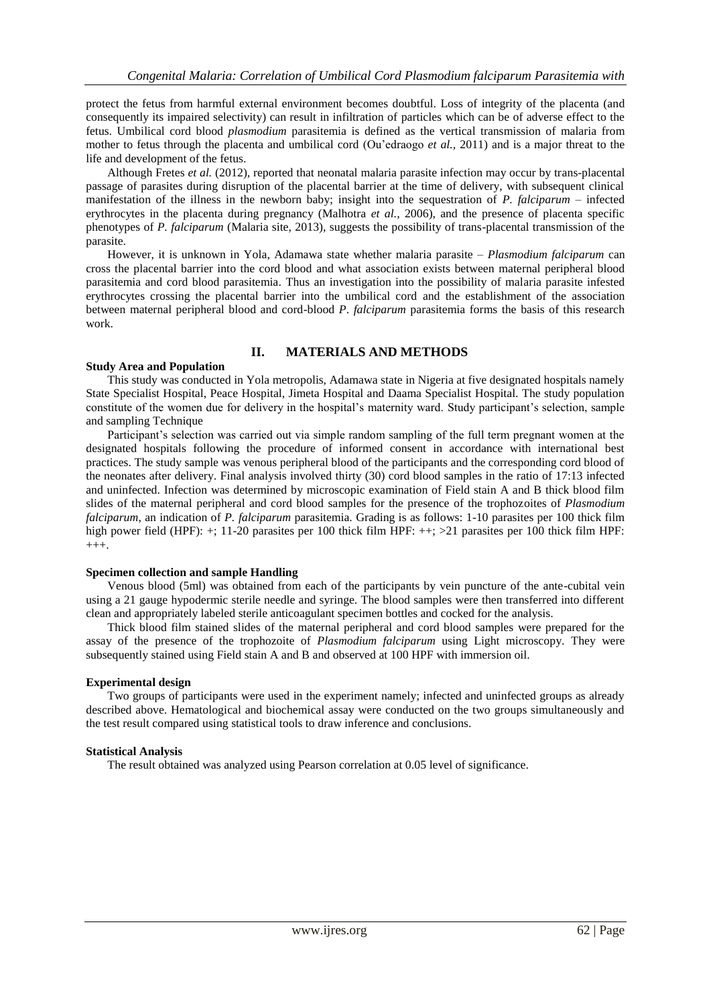protect the fetus from harmful external environment becomes doubtful. Loss of integrity of the placenta (and consequently its impaired selectivity) can result in infiltration of particles which can be of adverse effect to the fetus. Umbilical cord blood *plasmodium* parasitemia is defined as the vertical transmission of malaria from mother to fetus through the placenta and umbilical cord (Ou'edraogo *et al.,* 2011) and is a major threat to the life and development of the fetus.

Although Fretes *et al.* (2012), reported that neonatal malaria parasite infection may occur by trans-placental passage of parasites during disruption of the placental barrier at the time of delivery, with subsequent clinical manifestation of the illness in the newborn baby; insight into the sequestration of *P. falciparum* – infected erythrocytes in the placenta during pregnancy (Malhotra *et al.,* 2006), and the presence of placenta specific phenotypes of *P. falciparum* (Malaria site, 2013), suggests the possibility of trans-placental transmission of the parasite.

However, it is unknown in Yola, Adamawa state whether malaria parasite – *Plasmodium falciparum* can cross the placental barrier into the cord blood and what association exists between maternal peripheral blood parasitemia and cord blood parasitemia. Thus an investigation into the possibility of malaria parasite infested erythrocytes crossing the placental barrier into the umbilical cord and the establishment of the association between maternal peripheral blood and cord-blood *P*. *falciparum* parasitemia forms the basis of this research work.

## **II. MATERIALS AND METHODS**

#### **Study Area and Population**

This study was conducted in Yola metropolis, Adamawa state in Nigeria at five designated hospitals namely State Specialist Hospital, Peace Hospital, Jimeta Hospital and Daama Specialist Hospital. The study population constitute of the women due for delivery in the hospital's maternity ward. Study participant's selection, sample and sampling Technique

Participant's selection was carried out via simple random sampling of the full term pregnant women at the designated hospitals following the procedure of informed consent in accordance with international best practices. The study sample was venous peripheral blood of the participants and the corresponding cord blood of the neonates after delivery. Final analysis involved thirty (30) cord blood samples in the ratio of 17:13 infected and uninfected. Infection was determined by microscopic examination of Field stain A and B thick blood film slides of the maternal peripheral and cord blood samples for the presence of the trophozoites of *Plasmodium falciparum*, an indication of *P. falciparum* parasitemia. Grading is as follows: 1-10 parasites per 100 thick film high power field (HPF): +; 11-20 parasites per 100 thick film HPF: ++; >21 parasites per 100 thick film HPF:  $_{+++.}$ 

#### **Specimen collection and sample Handling**

Venous blood (5ml) was obtained from each of the participants by vein puncture of the ante-cubital vein using a 21 gauge hypodermic sterile needle and syringe. The blood samples were then transferred into different clean and appropriately labeled sterile anticoagulant specimen bottles and cocked for the analysis.

Thick blood film stained slides of the maternal peripheral and cord blood samples were prepared for the assay of the presence of the trophozoite of *Plasmodium falciparum* using Light microscopy. They were subsequently stained using Field stain A and B and observed at 100 HPF with immersion oil.

#### **Experimental design**

Two groups of participants were used in the experiment namely; infected and uninfected groups as already described above. Hematological and biochemical assay were conducted on the two groups simultaneously and the test result compared using statistical tools to draw inference and conclusions.

#### **Statistical Analysis**

The result obtained was analyzed using Pearson correlation at 0.05 level of significance.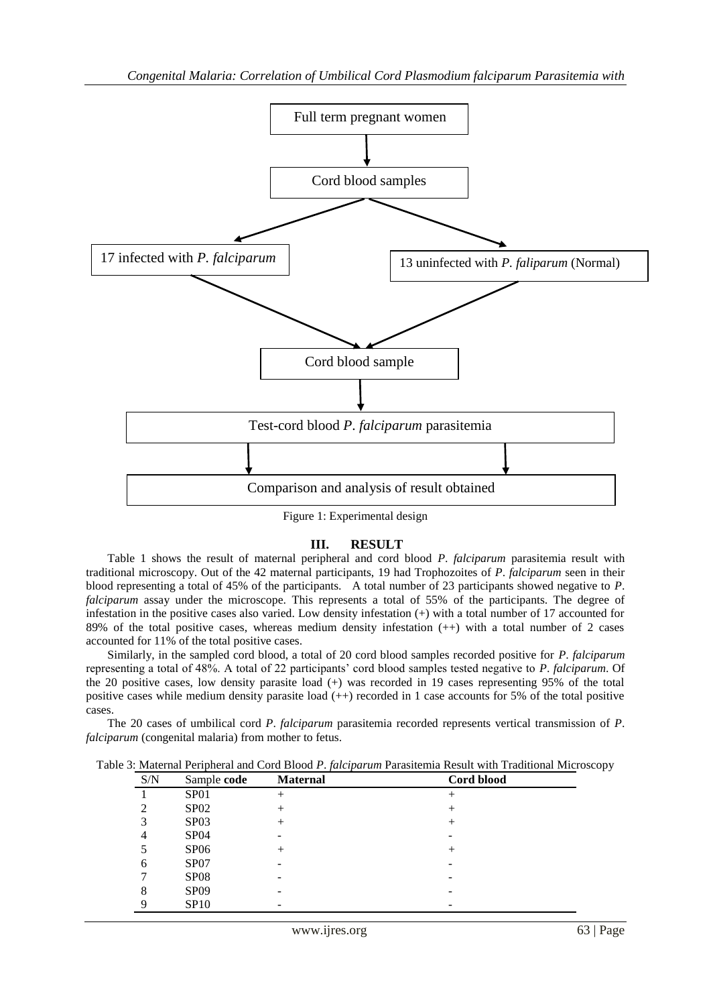

Figure 1: Experimental design

## **III. RESULT**

Table 1 shows the result of maternal peripheral and cord blood *P*. *falciparum* parasitemia result with traditional microscopy. Out of the 42 maternal participants, 19 had Trophozoites of *P*. *falciparum* seen in their blood representing a total of 45% of the participants. A total number of 23 participants showed negative to *P*. *falciparum* assay under the microscope. This represents a total of 55% of the participants. The degree of infestation in the positive cases also varied. Low density infestation (+) with a total number of 17 accounted for 89% of the total positive cases, whereas medium density infestation (++) with a total number of 2 cases accounted for 11% of the total positive cases.

Similarly, in the sampled cord blood, a total of 20 cord blood samples recorded positive for *P*. *falciparum* representing a total of 48%. A total of 22 participants' cord blood samples tested negative to *P*. *falciparum*. Of the 20 positive cases, low density parasite load (+) was recorded in 19 cases representing 95% of the total positive cases while medium density parasite load (++) recorded in 1 case accounts for 5% of the total positive cases.

The 20 cases of umbilical cord *P*. *falciparum* parasitemia recorded represents vertical transmission of *P*. *falciparum* (congenital malaria) from mother to fetus.

Table 3: Maternal Peripheral and Cord Blood *P*. *falciparum* Parasitemia Result with Traditional Microscopy

| S/N | Sample code      | <b>Maternal</b> | Cord blood |
|-----|------------------|-----------------|------------|
|     | SP <sub>01</sub> | $^{+}$          | $^+$       |
|     | SPO2             | $^+$            | +          |
| 3   | SP <sub>03</sub> | $^+$            | $^+$       |
| 4   | <b>SP04</b>      | -               |            |
|     | SP <sub>06</sub> | $^{+}$          | $^+$       |
| 6   | SP <sub>07</sub> | -               | -          |
|     | SP <sub>08</sub> | -               | -          |
| 8   | <b>SP09</b>      | -               | -          |
|     | <b>SP10</b>      | -               |            |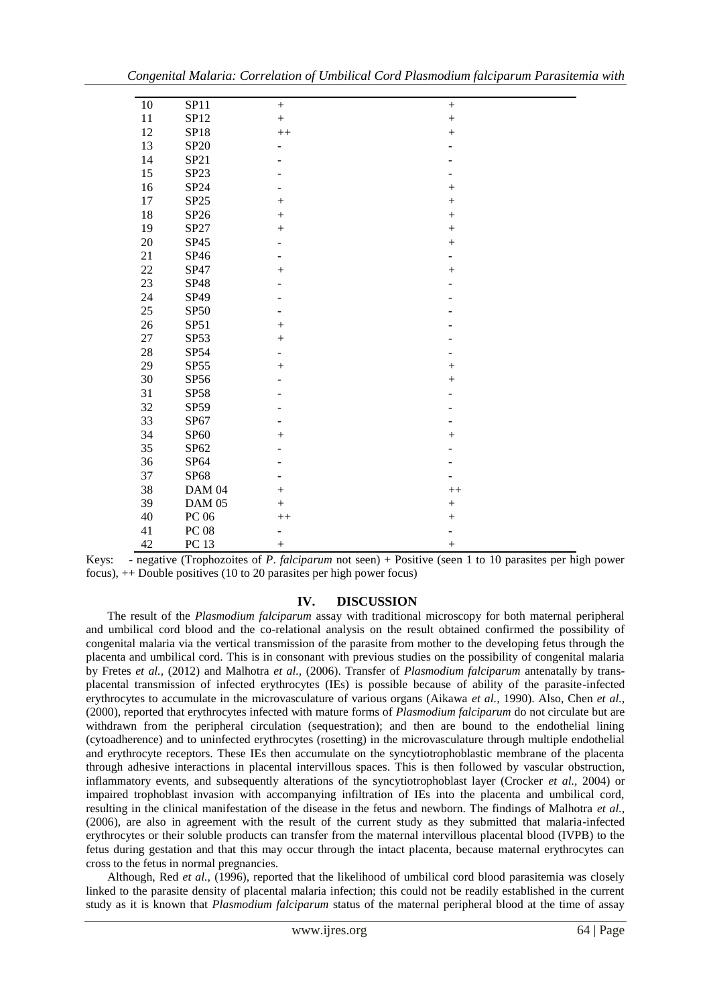| 10     | SP11             |                          | $^{+}$    |
|--------|------------------|--------------------------|-----------|
| 11     | SP12             | $\boldsymbol{+}$         | $\! + \!$ |
| 12     | SP18             | $++$                     | $\! + \!$ |
| 13     | SP20             |                          |           |
| 14     | SP21             |                          |           |
| 15     | SP <sub>23</sub> |                          |           |
| 16     | SP24             |                          | $^{+}$    |
| 17     | SP25             | $^{+}$                   | $\! + \!$ |
| 18     | SP26             | $^{+}$                   | $\! + \!$ |
| 19     | SP27             | $\! + \!$                | $\! + \!$ |
| 20     | SP45             |                          | $^{+}$    |
| 21     | SP46             |                          | -         |
| 22     | SP47             | $^{+}$                   | $^{+}$    |
| 23     | SP48             |                          |           |
| 24     | SP49             |                          |           |
| 25     | <b>SP50</b>      |                          |           |
| 26     | SP51             | $^{+}$                   |           |
| 27     | SP53             | $^{+}$                   |           |
| $28\,$ | SP54             |                          |           |
| 29     | SP55             | $^{+}$                   | $^{+}$    |
| 30     | SP56             |                          | $\! + \!$ |
| 31     | <b>SP58</b>      |                          |           |
| 32     | SP59             |                          |           |
| 33     | SP67             |                          |           |
| 34     | SP60             | $\! + \!$                | $^{+}$    |
| 35     | SP62             |                          |           |
| 36     | SP64             |                          |           |
| 37     | SP68             |                          |           |
| 38     | DAM 04           | $\boldsymbol{+}$         | $++$      |
| 39     | <b>DAM 05</b>    | $^{+}$                   | $\! + \!$ |
| 40     | PC 06            | $+$                      | $\! + \!$ |
| 41     | ${\rm PC}\ 08$   | $\overline{\phantom{0}}$ |           |
| 42     | <b>PC 13</b>     |                          | $^{+}$    |

Keys: - negative (Trophozoites of *P*. *falciparum* not seen) + Positive (seen 1 to 10 parasites per high power focus), ++ Double positives (10 to 20 parasites per high power focus)

#### **IV. DISCUSSION**

The result of the *Plasmodium falciparum* assay with traditional microscopy for both maternal peripheral and umbilical cord blood and the co-relational analysis on the result obtained confirmed the possibility of congenital malaria via the vertical transmission of the parasite from mother to the developing fetus through the placenta and umbilical cord. This is in consonant with previous studies on the possibility of congenital malaria by Fretes *et al.,* (2012) and Malhotra *et al.,* (2006). Transfer of *Plasmodium falciparum* antenatally by transplacental transmission of infected erythrocytes (IEs) is possible because of ability of the parasite-infected erythrocytes to accumulate in the microvasculature of various organs (Aikawa *et al.,* 1990). Also, Chen *et al.,* (2000), reported that erythrocytes infected with mature forms of *Plasmodium falciparum* do not circulate but are withdrawn from the peripheral circulation (sequestration); and then are bound to the endothelial lining (cytoadherence) and to uninfected erythrocytes (rosetting) in the microvasculature through multiple endothelial and erythrocyte receptors. These IEs then accumulate on the syncytiotrophoblastic membrane of the placenta through adhesive interactions in placental intervillous spaces. This is then followed by vascular obstruction, inflammatory events, and subsequently alterations of the syncytiotrophoblast layer (Crocker *et al.,* 2004) or impaired trophoblast invasion with accompanying infiltration of IEs into the placenta and umbilical cord, resulting in the clinical manifestation of the disease in the fetus and newborn. The findings of Malhotra *et al.,* (2006), are also in agreement with the result of the current study as they submitted that malaria-infected erythrocytes or their soluble products can transfer from the maternal intervillous placental blood (IVPB) to the fetus during gestation and that this may occur through the intact placenta, because maternal erythrocytes can cross to the fetus in normal pregnancies.

Although, Red *et al.,* (1996), reported that the likelihood of umbilical cord blood parasitemia was closely linked to the parasite density of placental malaria infection; this could not be readily established in the current study as it is known that *Plasmodium falciparum* status of the maternal peripheral blood at the time of assay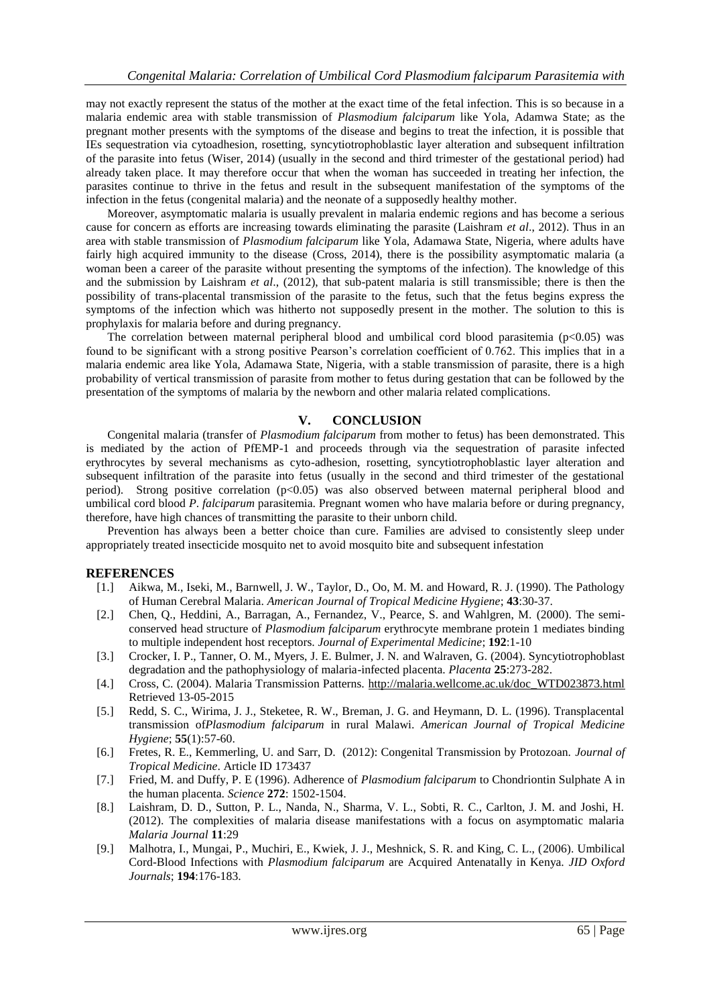may not exactly represent the status of the mother at the exact time of the fetal infection. This is so because in a malaria endemic area with stable transmission of *Plasmodium falciparum* like Yola, Adamwa State; as the pregnant mother presents with the symptoms of the disease and begins to treat the infection, it is possible that IEs sequestration via cytoadhesion, rosetting, syncytiotrophoblastic layer alteration and subsequent infiltration of the parasite into fetus (Wiser, 2014) (usually in the second and third trimester of the gestational period) had already taken place. It may therefore occur that when the woman has succeeded in treating her infection, the parasites continue to thrive in the fetus and result in the subsequent manifestation of the symptoms of the infection in the fetus (congenital malaria) and the neonate of a supposedly healthy mother.

Moreover, asymptomatic malaria is usually prevalent in malaria endemic regions and has become a serious cause for concern as efforts are increasing towards eliminating the parasite (Laishram *et al*., 2012). Thus in an area with stable transmission of *Plasmodium falciparum* like Yola, Adamawa State, Nigeria, where adults have fairly high acquired immunity to the disease (Cross, 2014), there is the possibility asymptomatic malaria (a woman been a career of the parasite without presenting the symptoms of the infection). The knowledge of this and the submission by Laishram *et al*., (2012), that sub-patent malaria is still transmissible; there is then the possibility of trans-placental transmission of the parasite to the fetus, such that the fetus begins express the symptoms of the infection which was hitherto not supposedly present in the mother. The solution to this is prophylaxis for malaria before and during pregnancy.

The correlation between maternal peripheral blood and umbilical cord blood parasitemia ( $p<0.05$ ) was found to be significant with a strong positive Pearson's correlation coefficient of 0.762. This implies that in a malaria endemic area like Yola, Adamawa State, Nigeria, with a stable transmission of parasite, there is a high probability of vertical transmission of parasite from mother to fetus during gestation that can be followed by the presentation of the symptoms of malaria by the newborn and other malaria related complications.

## **V. CONCLUSION**

Congenital malaria (transfer of *Plasmodium falciparum* from mother to fetus) has been demonstrated. This is mediated by the action of PfEMP-1 and proceeds through via the sequestration of parasite infected erythrocytes by several mechanisms as cyto-adhesion, rosetting, syncytiotrophoblastic layer alteration and subsequent infiltration of the parasite into fetus (usually in the second and third trimester of the gestational period). Strong positive correlation (p<0.05) was also observed between maternal peripheral blood and umbilical cord blood *P*. *falciparum* parasitemia. Pregnant women who have malaria before or during pregnancy, therefore, have high chances of transmitting the parasite to their unborn child.

Prevention has always been a better choice than cure. Families are advised to consistently sleep under appropriately treated insecticide mosquito net to avoid mosquito bite and subsequent infestation

## **REFERENCES**

- [1.] Aikwa, M., Iseki, M., Barnwell, J. W., Taylor, D., Oo, M. M. and Howard, R. J. (1990). The Pathology of Human Cerebral Malaria. *American Journal of Tropical Medicine Hygiene*; **43**:30-37.
- [2.] Chen, Q., Heddini, A., Barragan, A., Fernandez, V., Pearce, S. and Wahlgren, M. (2000). The semiconserved head structure of *Plasmodium falciparum* erythrocyte membrane protein 1 mediates binding to multiple independent host receptors. *Journal of Experimental Medicine*; **192**:1-10
- [3.] Crocker, I. P., Tanner, O. M., Myers, J. E. Bulmer, J. N. and Walraven, G. (2004). Syncytiotrophoblast degradation and the pathophysiology of malaria-infected placenta. *Placenta* **25**:273-282.
- [4.] Cross, C. (2004). Malaria Transmission Patterns. [http://malaria.wellcome.ac.uk/doc\\_WTD023873.html](http://malaria.wellcome.ac.uk/doc_WTD023873.html) Retrieved 13-05-2015
- [5.] Redd, S. C., Wirima, J. J., Steketee, R. W., Breman, J. G. and Heymann, D. L. (1996). Transplacental transmission of*Plasmodium falciparum* in rural Malawi. *American Journal of Tropical Medicine Hygiene*; **55**(1):57-60.
- [6.] Fretes, R. E., Kemmerling, U. and Sarr, D. (2012): Congenital Transmission by Protozoan. *Journal of Tropical Medicine*. Article ID 173437
- [7.] Fried, M. and Duffy, P. E (1996). Adherence of *Plasmodium falciparum* to Chondriontin Sulphate A in the human placenta. *Science* **272**: 1502-1504.
- [8.] Laishram, D. D., Sutton, P. L., Nanda, N., Sharma, V. L., Sobti, R. C., Carlton, J. M. and Joshi, H. (2012). The complexities of malaria disease manifestations with a focus on asymptomatic malaria *Malaria Journal* **11**:29
- [9.] Malhotra, I., Mungai, P., Muchiri, E., Kwiek, J. J., Meshnick, S. R. and King, C. L., (2006). Umbilical Cord-Blood Infections with *Plasmodium falciparum* are Acquired Antenatally in Kenya. *JID Oxford Journals*; **194**:176-183.